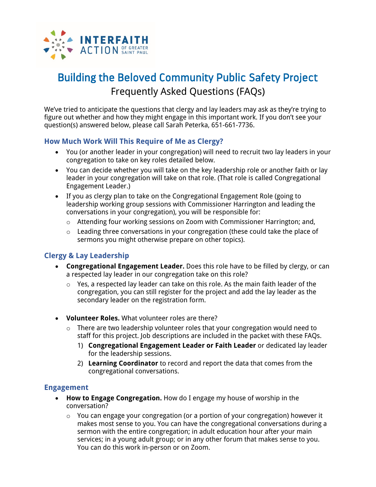

# Building the Beloved Community Public Safety Project Frequently Asked Questions (FAQs)

We've tried to anticipate the questions that clergy and lay leaders may ask as they're trying to figure out whether and how they might engage in this important work. If you don't see your question(s) answered below, please call Sarah Peterka, 651-661-7736.

# **How Much Work Will This Require of Me as Clergy?**

- You (or another leader in your congregation) will need to recruit two lay leaders in your congregation to take on key roles detailed below.
- You can decide whether you will take on the key leadership role or another faith or lay leader in your congregation will take on that role. (That role is called Congregational Engagement Leader.)
- If you as clergy plan to take on the Congregational Engagement Role (going to leadership working group sessions with Commissioner Harrington and leading the conversations in your congregation), you will be responsible for:
	- o Attending four working sessions on Zoom with Commissioner Harrington; and,
	- $\circ$  Leading three conversations in your congregation (these could take the place of sermons you might otherwise prepare on other topics).

# **Clergy & Lay Leadership**

- **Congregational Engagement Leader.** Does this role have to be filled by clergy, or can a respected lay leader in our congregation take on this role?
	- $\circ$  Yes, a respected lay leader can take on this role. As the main faith leader of the congregation, you can still register for the project and add the lay leader as the secondary leader on the registration form.
- **Volunteer Roles.** What volunteer roles are there?
	- $\circ$  There are two leadership volunteer roles that your congregation would need to staff for this project. Job descriptions are included in the packet with these FAQs.
		- 1) **Congregational Engagement Leader or Faith Leader** or dedicated lay leader for the leadership sessions.
		- 2) **Learning Coordinator** to record and report the data that comes from the congregational conversations.

#### **Engagement**

- **How to Engage Congregation.** How do I engage my house of worship in the conversation?
	- o You can engage your congregation (or a portion of your congregation) however it makes most sense to you. You can have the congregational conversations during a sermon with the entire congregation; in adult education hour after your main services; in a young adult group; or in any other forum that makes sense to you. You can do this work in-person or on Zoom.